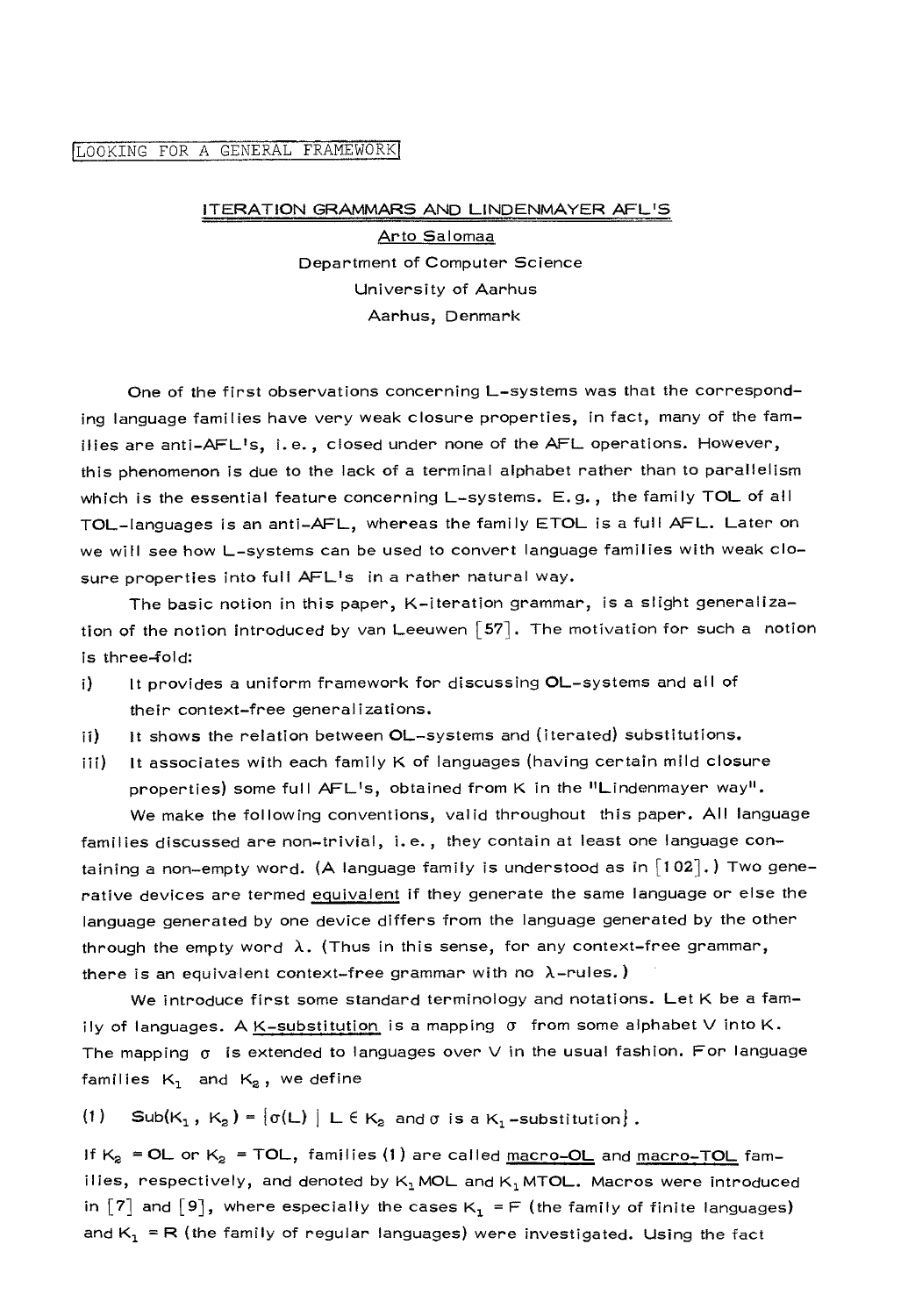## LOOKING FOR A GENERAL FRAMEWORK

## ITERATION GRAMMARS AND LINDENMAYER AFLIS

Arto Salomaa Department of Computer Science University of Aarhus Aarhus, Denmark

One of the first observations concerning L-systems was that the corresponding language families have very weak closure properties, in fact, many of the families are anti-AFL's, i.e., closed under none of the AFL operations. However, this phenomenon is due to the lack of a terminal alphabet rather than to parallelism which is the essential feature concerning L-systems. E.g., the family TOL of all mOL-languages is an anti-AFL, whereas the family ETOL is a full AFL. Later on we will see how L-systems can be used to convert language families with weak closure properties into full AFL<sup>I</sup>s in a rather natural way.

The basic notion in this paper, K-iteration grammar, is a slight generalization of the notion introduced by van Leeuwen  $\lceil 57 \rceil$ . The motivation for such a notion is three-fold:

- i) It provides a uniform framework for discussing OL-systems and all of their context-free generalizations.
- ii) It shows the relation between OL-systems and (iterated) substitutions.
- iii) It associates with each family K of languages (having certain mild closure properties) some full AFL's, obtained from K in the "Lindenmayer way". We make the following conventions, valid throughout this paper. All language

families discussed are non-trivial, i.e., they contain at least one language containing a non-empty word. (A language family is understood as in  $\lceil 102 \rceil$ .) Two generative devices are termed equivalent if they generate the same language or else the language generated by one device differs from the language generated by the other through the empty word  $\lambda$ . (Thus in this sense, for any context-free grammar, there is an equivalent context-free grammar with no  $\lambda$ -rules.)

We introduce first some standard terminology and notations. Let K be a family of languages. A K-substitution is a mapping  $\sigma$  from some alphabet V into K. The mapping  $\sigma$  is extended to languages over V in the usual fashion. For language families  $K_1$  and  $K_2$ , we define

(1) Sub $(K_1, K_2) = {\sigma(L)} | L \in K_2$  and  $\sigma$  is a  $K_1$ -substitution}.

If  $K_2$  = OL or  $K_2$  = TOL, families (1) are called macro-OL and macro-TOL families, respectively, and denoted by  $K_1$  MOL and  $K_1$  MTOL. Macros were introduced in  $[7]$  and  $[9]$ , where especially the cases K<sub>1</sub> = F (the family of finite languages) and  $K_1$  = R (the family of regular languages) were investigated. Using the fact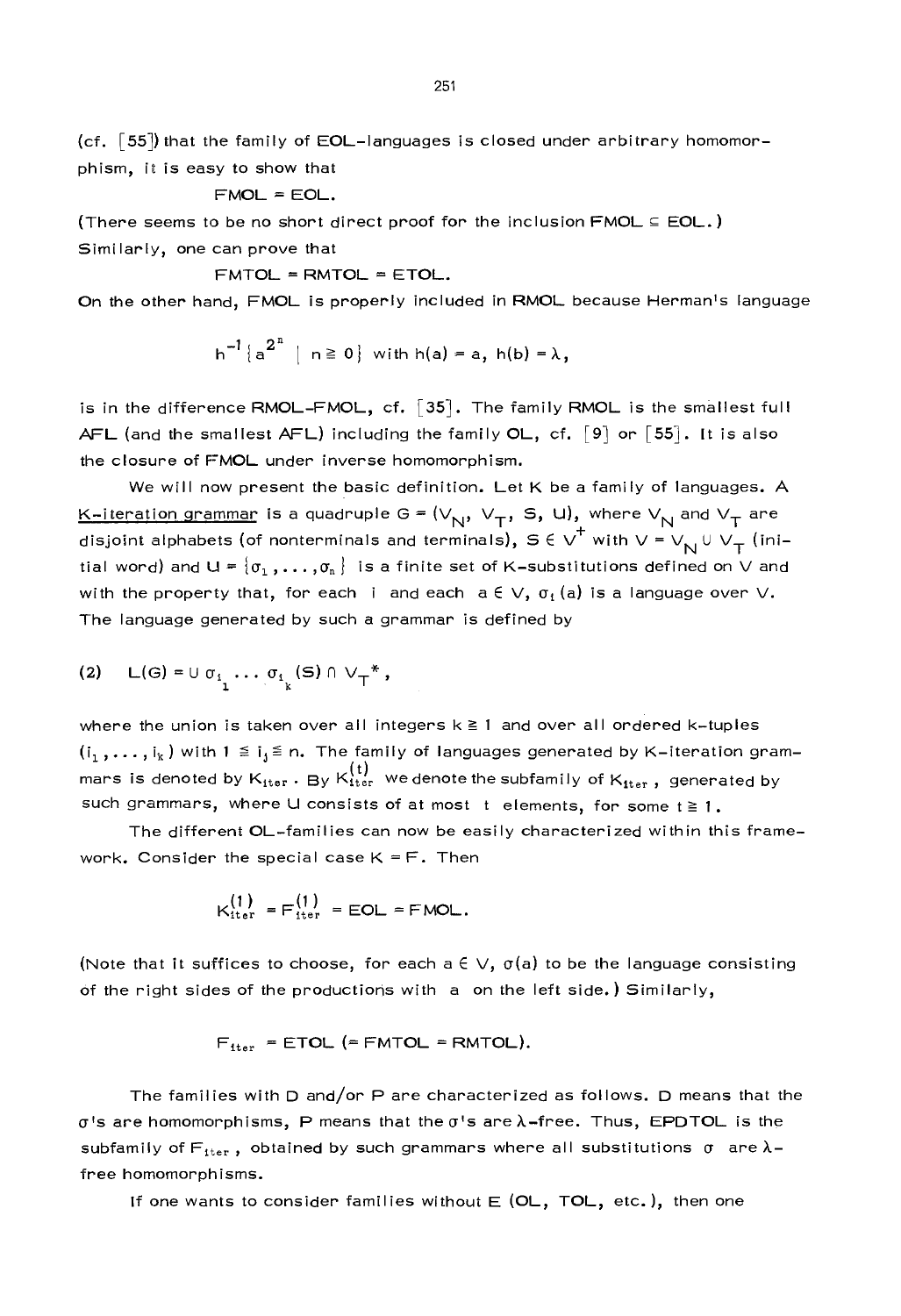$(cf. [55])$  that the family of EOL-languages is closed under arbitrary homomorphism, it is easy to show that

$$
\mathsf{FMOL} = \mathsf{EOL}.
$$

(There seems to be no short direct proof for the inclusion  $\text{FMOL} \subseteq \text{EOL.}$ ) Similarly, one can prove that

 $FMTOL = RMTOL = ETOL$ .

On the other hand, FMOL is properly included in RMOL because Hermanls language

$$
h^{-1}\{a^{2^n} \mid n \ge 0\} \text{ with } h(a) = a, h(b) = \lambda,
$$

is in the difference RMOL-FMOL, cf. [35]. The family RMOL is the smallest full AFL (and the smallest AFL) including the family OL, cf.  $\lceil 9 \rceil$  or  $\lceil 55 \rceil$ . It is also the closure of FMOL under inverse homomorphism.

We will now present the basic definition. Let K be a family of languages. A <u>K-iteration grammar</u> is a quadruple G =  $(V_{N}, V_{T}, S, U)$ , where  $V_{N}$  and  $V_{T}$  are disjoint alphabets (of nonterminals and terminals),  $S \in V^+$  with  $V = V_N \cup V_T$  (initial word) and U =  $\{\sigma_1, \ldots, \sigma_n\}$  is a finite set of K-substitutions defined on V and with the property that, for each i and each  $a \in V$ ,  $\sigma_1(a)$  is a language over V. The language generated by such a grammar is defined by

$$
(2) \quad L(G) = \cup \sigma_{i_1} \cdots \sigma_{i_k}(S) \cap \vee_{T}^*,
$$

where the union is taken over all integers  $k \ge 1$  and over all ordered k-tuples  $(i_1,\ldots,i_k)$  with  $1 \leq i_j \leq n$ . The family of languages generated by K-iteration grammars is denoted by  $K_{\text{iter}}^{(t)}$  . By  $K_{\text{iter}}^{(t)}$  we denote the subfamily of  $K_{\text{iter}}$  , generated by such grammars, where U consists of at most t elements, for some  $t \geq 1$ .

The different OL-families can now be easily characterized within this framework. Consider the special case  $K = F$ . Then

$$
K_{\text{iter}}^{(1)} = F_{\text{iter}}^{(1)} = \text{EOL} = \text{FMOL}.
$$

(Note that it suffices to choose, for each  $a \in V$ ,  $\sigma(a)$  to be the language consisting of the right sides of the productions with a on the left side.) Similarly,

$$
F_{\text{iter}} = \text{ETOL} (= \text{FMTOL} = \text{RMTOL}).
$$

The families with D and/or P are characterized as follows. D means that the  $\sigma$ 's are homomorphisms, P means that the  $\sigma$ 's are  $\lambda$ -free. Thus, EPDTOL is the subfamily of  $F_{\text{iter}}$ , obtained by such grammars where all substitutions  $\sigma$  are  $\lambda$ free homomorphisms.

If one wants to consider families without  $E$  (OL, TOL, etc.), then one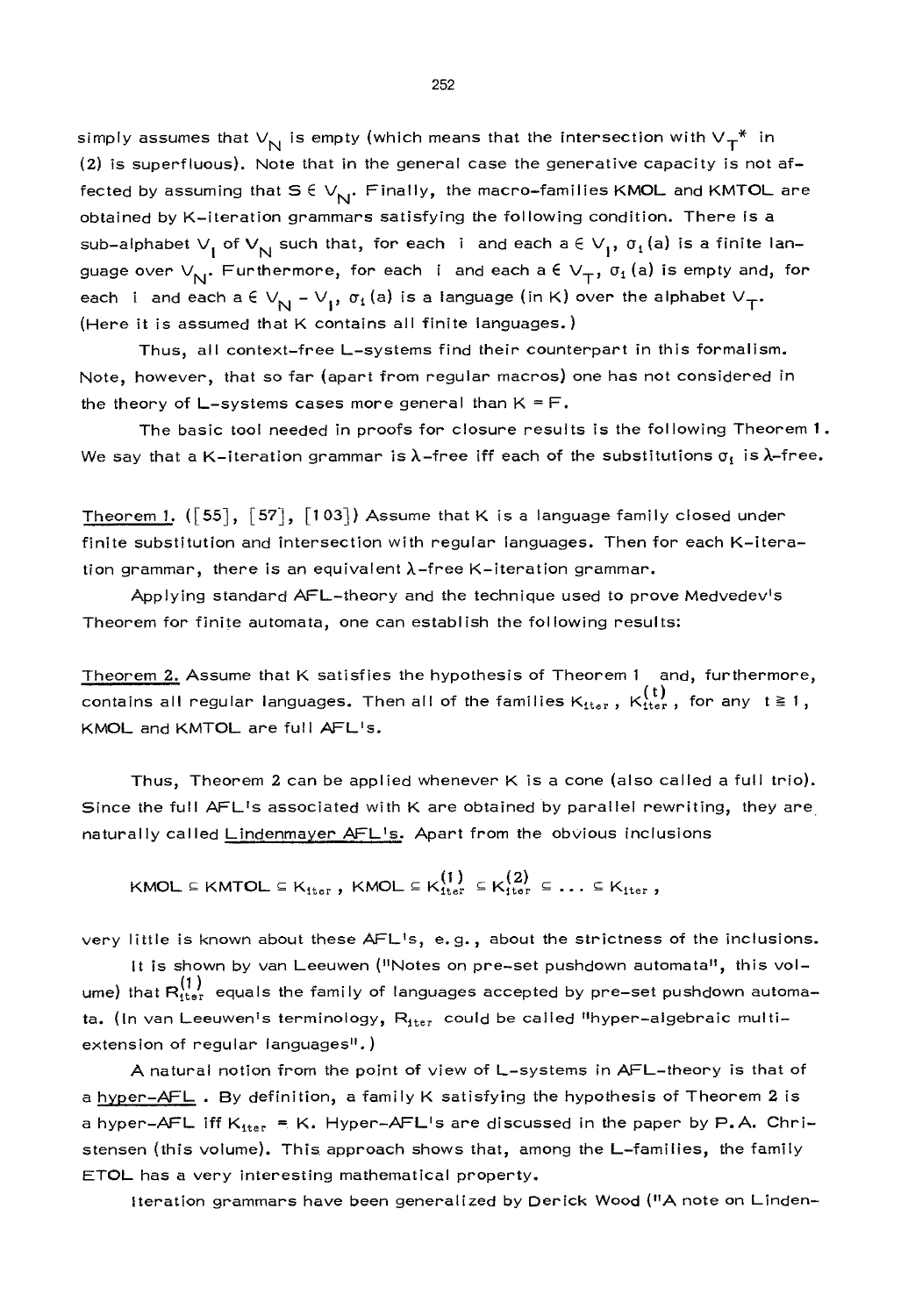simply assumes that  $V_{\rm N}$  is empty (which means that the intersection with  $V_{\rm T}^*$  in (2) is superfluous). Note that in the general case the generative capacity is not affected by assuming that  $S \in V_{N!}$ . Finally, the macro-families KMOL and KMTOL are obtained by K-iteration grammars satisfying the following condition. There is a sub-alphabet  $V_1$  of  $V_{\overline{N}}$  such that, for each i and each a  $\in V_1$ ,  $\sigma_t$  (a) is a finite language over  $V_{N}$ . Furthermore, for each i and each a  $\epsilon V_{T}$ ,  $\sigma_1$  (a) is empty and, for each i and each a  $\in V_{N} - V_{1}$ ,  $\sigma_{1}(a)$  is a language (in K) over the alphabet  $V_{T}$ . (Here it is assumed that K contains all finite languages.)

Thus, all context-free L-systems find their counterpart in this formalism. Note, however, that so far (apart from regular macros) one has not considered in the theory of L-systems cases more general than  $K = F$ .

The basic tool needed in proofs for closure results is the following Theorem 1. We say that a K-iteration grammar is  $\lambda$ -free iff each of the substitutions  $\sigma_i$  is  $\lambda$ -free.

Theorem 1.  $([55], [57], [103])$  Assume that K is a language family closed under finite substitution and intersection with regular languages. Then for each K-iteration grammar, there is an equivalent  $\lambda$ -free K-iteration grammar.

Applying standard AFL-theory and the technique used to prove Medvedev<sup>1</sup>s Theorem for finite automata, one can establish the following results:

Theorem 2. Assume that K satisfies the hypothesis of Theorem 1 and, furthermore, contains all regular languages. Then all of the families  $K_{\text{iter}}$ ,  $K_{\text{iter}}^{(t)}$ , for any  $t \ge 1$ , KMOL and KMTOL are full AFL's.

Thus, Theorem 2 can be applied whenever K is a cone (also called a full trio). Since the full AFL<sup>1</sup>s associated with K are obtained by parallel rewriting, they are naturally called Lindenmayer AFLIs. Apart from the obvious inclusions

$$
\mathsf{KMOL} \subseteq \mathsf{KMTOL} \subseteq \mathsf{K_{iter}}\text{, }\mathsf{KMOL} \subseteq \mathsf{K_{iter}^{\{1\}}} \subseteq \mathsf{K_{iter}^{\{2\}}} \subseteq \ldots \subseteq \mathsf{K_{iter}}\text{,}
$$

very little is known about these AFL<sup>1</sup>s, e.g., about the strictness of the inclusions.

It is shown by van Leeuwen ("Notes on pre-set pushdown automata", this volume) that  $R_{\text{iter}}^{(1)}$  equals the family of languages accepted by pre-set pushdown automata. (In van Leeuwen's terminology, R<sub>iter</sub> could be called "hyper-algebraic multiextension of regular languages<sup>11</sup>.)

A natural notion from the point of view of L-systems in AFL-theory is that of a hyper-AFL. By definition, a family K satisfying the hypothesis of Theorem 2 is a hyper-AFL iff  $K_{iter} = K$ . Hyper-AFL<sup>I</sup>s are discussed in the paper by P.A. Christensen (this volume). This approach shows that, among the L-families, the family ETOL has a very interesting mathematical property.

Iteration grammars have been generalized by Derick Wood ("A note on Linden-